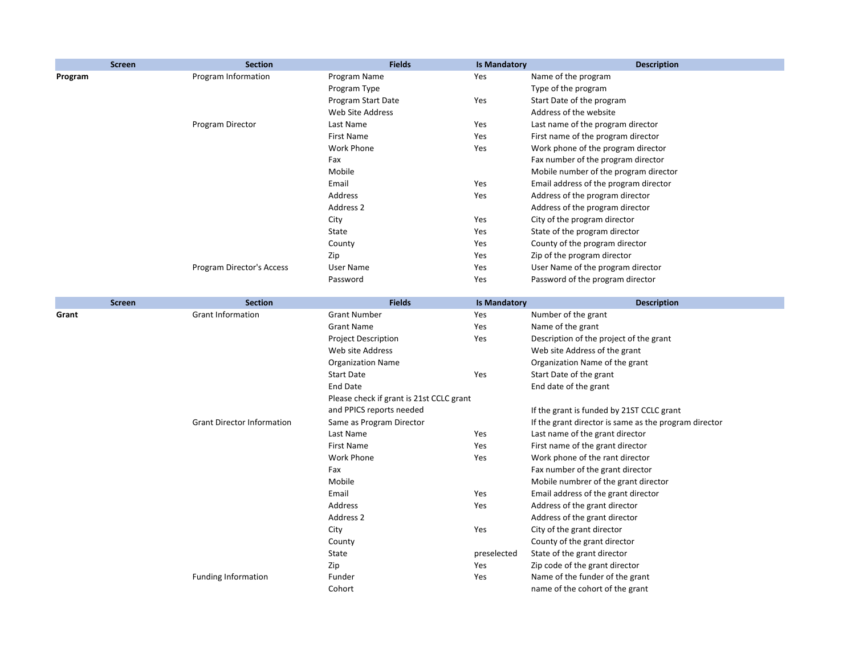| <b>Screen</b> | <b>Section</b>                    | <b>Fields</b>                            | <b>Is Mandatory</b> | <b>Description</b>                                    |
|---------------|-----------------------------------|------------------------------------------|---------------------|-------------------------------------------------------|
| Program       | Program Information               | Program Name                             | Yes                 | Name of the program                                   |
|               |                                   | Program Type                             |                     | Type of the program                                   |
|               |                                   | Program Start Date                       | Yes                 | Start Date of the program                             |
|               |                                   | Web Site Address                         |                     | Address of the website                                |
|               | Program Director                  | Last Name                                | Yes                 | Last name of the program director                     |
|               |                                   | <b>First Name</b>                        | Yes                 | First name of the program director                    |
|               |                                   | <b>Work Phone</b>                        | Yes                 | Work phone of the program director                    |
|               |                                   | Fax                                      |                     | Fax number of the program director                    |
|               |                                   | Mobile                                   |                     | Mobile number of the program director                 |
|               |                                   | Email                                    | Yes                 | Email address of the program director                 |
|               |                                   | Address                                  | Yes                 | Address of the program director                       |
|               |                                   | Address 2                                |                     | Address of the program director                       |
|               |                                   | City                                     | Yes                 | City of the program director                          |
|               |                                   | State                                    | Yes                 | State of the program director                         |
|               |                                   | County                                   | Yes                 | County of the program director                        |
|               |                                   | Zip                                      | Yes                 | Zip of the program director                           |
|               | Program Director's Access         | <b>User Name</b>                         | Yes                 | User Name of the program director                     |
|               |                                   | Password                                 | Yes                 | Password of the program director                      |
|               |                                   |                                          |                     |                                                       |
| <b>Screen</b> | <b>Section</b>                    | <b>Fields</b>                            | <b>Is Mandatory</b> | <b>Description</b>                                    |
| Grant         | <b>Grant Information</b>          | <b>Grant Number</b>                      | Yes                 | Number of the grant                                   |
|               |                                   | <b>Grant Name</b>                        | Yes                 | Name of the grant                                     |
|               |                                   | <b>Project Description</b>               | Yes                 | Description of the project of the grant               |
|               |                                   | Web site Address                         |                     | Web site Address of the grant                         |
|               |                                   | <b>Organization Name</b>                 |                     | Organization Name of the grant                        |
|               |                                   | <b>Start Date</b>                        | Yes                 | Start Date of the grant                               |
|               |                                   | <b>End Date</b>                          |                     | End date of the grant                                 |
|               |                                   | Please check if grant is 21st CCLC grant |                     |                                                       |
|               |                                   | and PPICS reports needed                 |                     | If the grant is funded by 21ST CCLC grant             |
|               | <b>Grant Director Information</b> | Same as Program Director                 |                     | If the grant director is same as the program director |
|               |                                   | Last Name                                | Yes                 | Last name of the grant director                       |
|               |                                   | <b>First Name</b>                        | Yes                 | First name of the grant director                      |
|               |                                   | Work Phone                               | Yes                 | Work phone of the rant director                       |
|               |                                   | Fax                                      |                     | Fax number of the grant director                      |
|               |                                   | Mobile                                   |                     | Mobile numbrer of the grant director                  |
|               |                                   | Email                                    | Yes                 | Email address of the grant director                   |
|               |                                   | Address                                  | Yes                 | Address of the grant director                         |
|               |                                   | Address 2                                |                     | Address of the grant director                         |
|               |                                   | City                                     | Yes                 | City of the grant director                            |
|               |                                   | County                                   |                     | County of the grant director                          |
|               |                                   | State                                    | preselected         | State of the grant director                           |
|               |                                   | Zip                                      | Yes                 | Zip code of the grant director                        |
|               | <b>Funding Information</b>        | Funder                                   | Yes                 | Name of the funder of the grant                       |
|               |                                   | Cohort                                   |                     | name of the cohort of the grant                       |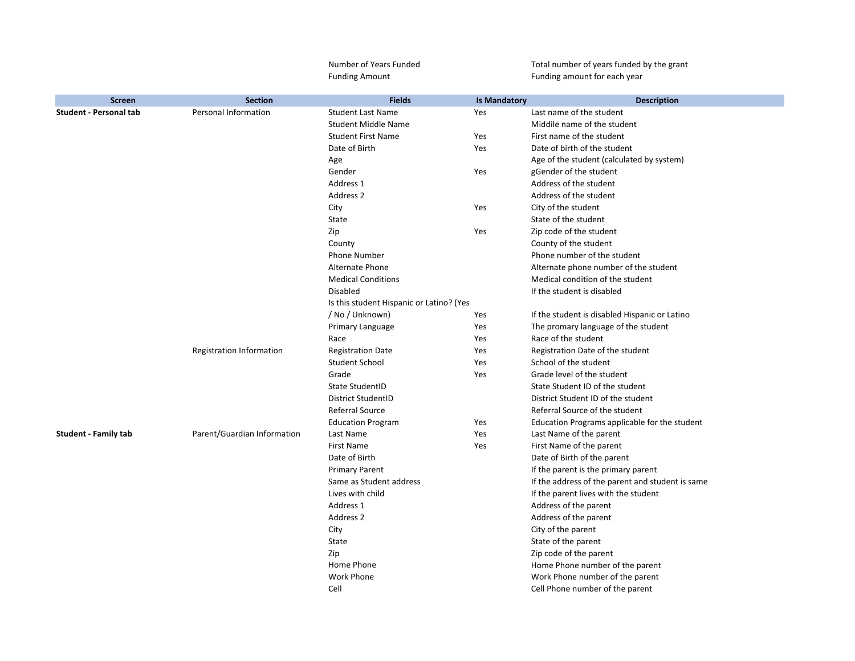|                               |                                 | Number of Years Funded                   |                     | Total number of years funded by the grant        |
|-------------------------------|---------------------------------|------------------------------------------|---------------------|--------------------------------------------------|
|                               |                                 | <b>Funding Amount</b>                    |                     | Funding amount for each year                     |
| <b>Screen</b>                 | <b>Section</b>                  | <b>Fields</b>                            | <b>Is Mandatory</b> | <b>Description</b>                               |
| <b>Student - Personal tab</b> | <b>Personal Information</b>     | <b>Student Last Name</b>                 | Yes                 | Last name of the student                         |
|                               |                                 | <b>Student Middle Name</b>               |                     | Middile name of the student                      |
|                               |                                 | <b>Student First Name</b>                | Yes                 | First name of the student                        |
|                               |                                 | Date of Birth                            | Yes                 | Date of birth of the student                     |
|                               |                                 | Age                                      |                     | Age of the student (calculated by system)        |
|                               |                                 | Gender                                   | Yes                 | gGender of the student                           |
|                               |                                 | Address 1                                |                     | Address of the student                           |
|                               |                                 | Address 2                                |                     | Address of the student                           |
|                               |                                 | City                                     | Yes                 | City of the student                              |
|                               |                                 | State                                    |                     | State of the student                             |
|                               |                                 | Zip                                      | Yes                 | Zip code of the student                          |
|                               |                                 | County                                   |                     | County of the student                            |
|                               |                                 | <b>Phone Number</b>                      |                     | Phone number of the student                      |
|                               |                                 | Alternate Phone                          |                     | Alternate phone number of the student            |
|                               |                                 | <b>Medical Conditions</b>                |                     | Medical condition of the student                 |
|                               |                                 | <b>Disabled</b>                          |                     | If the student is disabled                       |
|                               |                                 | Is this student Hispanic or Latino? (Yes |                     |                                                  |
|                               |                                 | / No / Unknown)                          | Yes                 | If the student is disabled Hispanic or Latino    |
|                               |                                 | Primary Language                         | Yes                 | The promary language of the student              |
|                               |                                 | Race                                     | Yes                 | Race of the student                              |
|                               | <b>Registration Information</b> | <b>Registration Date</b>                 | Yes                 | Registration Date of the student                 |
|                               |                                 | <b>Student School</b>                    | Yes                 | School of the student                            |
|                               |                                 | Grade                                    | Yes                 | Grade level of the student                       |
|                               |                                 | <b>State StudentID</b>                   |                     | State Student ID of the student                  |
|                               |                                 | <b>District StudentID</b>                |                     | District Student ID of the student               |
|                               |                                 | <b>Referral Source</b>                   |                     | Referral Source of the student                   |
|                               |                                 | <b>Education Program</b>                 | Yes                 | Education Programs applicable for the student    |
| <b>Student - Family tab</b>   | Parent/Guardian Information     | Last Name                                | Yes                 | Last Name of the parent                          |
|                               |                                 | <b>First Name</b>                        | Yes                 | First Name of the parent                         |
|                               |                                 | Date of Birth                            |                     | Date of Birth of the parent                      |
|                               |                                 | <b>Primary Parent</b>                    |                     | If the parent is the primary parent              |
|                               |                                 | Same as Student address                  |                     | If the address of the parent and student is same |
|                               |                                 | Lives with child                         |                     | If the parent lives with the student             |
|                               |                                 | Address 1                                |                     | Address of the parent                            |
|                               |                                 | Address 2                                |                     | Address of the parent                            |
|                               |                                 | City                                     |                     | City of the parent                               |
|                               |                                 | State                                    |                     | State of the parent                              |
|                               |                                 | Zip                                      |                     | Zip code of the parent                           |
|                               |                                 | Home Phone                               |                     | Home Phone number of the parent                  |
|                               |                                 | <b>Work Phone</b>                        |                     | Work Phone number of the parent                  |
|                               |                                 | Cell                                     |                     | Cell Phone number of the parent                  |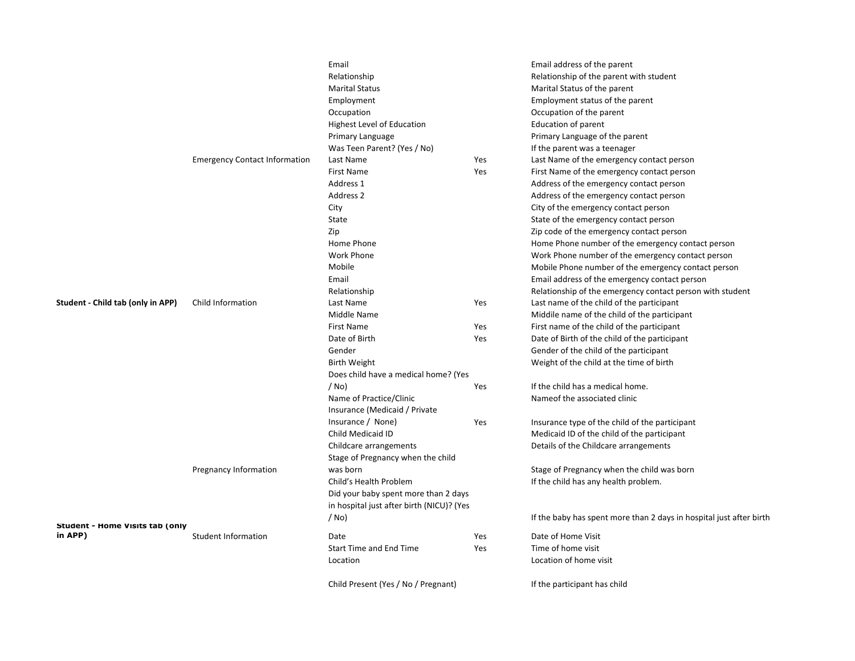|                                                   |                                      | Email                                     |     | Email address of the parent                                         |
|---------------------------------------------------|--------------------------------------|-------------------------------------------|-----|---------------------------------------------------------------------|
|                                                   |                                      | Relationship                              |     | Relationship of the parent with student                             |
|                                                   |                                      | <b>Marital Status</b>                     |     | Marital Status of the parent                                        |
|                                                   |                                      | Employment                                |     | Employment status of the parent                                     |
|                                                   |                                      | Occupation                                |     | Occupation of the parent                                            |
|                                                   |                                      | <b>Highest Level of Education</b>         |     | <b>Education of parent</b>                                          |
|                                                   |                                      | Primary Language                          |     | Primary Language of the parent                                      |
|                                                   |                                      | Was Teen Parent? (Yes / No)               |     | If the parent was a teenager                                        |
|                                                   | <b>Emergency Contact Information</b> | Last Name                                 | Yes | Last Name of the emergency contact person                           |
|                                                   |                                      | <b>First Name</b>                         | Yes | First Name of the emergency contact person                          |
|                                                   |                                      | Address 1                                 |     | Address of the emergency contact person                             |
|                                                   |                                      | Address 2                                 |     | Address of the emergency contact person                             |
|                                                   |                                      | City                                      |     | City of the emergency contact person                                |
|                                                   |                                      | <b>State</b>                              |     | State of the emergency contact person                               |
|                                                   |                                      | Zip                                       |     | Zip code of the emergency contact person                            |
|                                                   |                                      | Home Phone                                |     | Home Phone number of the emergency contact person                   |
|                                                   |                                      | <b>Work Phone</b>                         |     | Work Phone number of the emergency contact person                   |
|                                                   |                                      | Mobile                                    |     | Mobile Phone number of the emergency contact person                 |
|                                                   |                                      | Email                                     |     | Email address of the emergency contact person                       |
|                                                   |                                      | Relationship                              |     | Relationship of the emergency contact person with student           |
| <b>Student - Child tab (only in APP)</b>          | Child Information                    | Last Name                                 | Yes | Last name of the child of the participant                           |
|                                                   |                                      | Middle Name                               |     | Middile name of the child of the participant                        |
|                                                   |                                      | <b>First Name</b>                         |     |                                                                     |
|                                                   |                                      |                                           | Yes | First name of the child of the participant                          |
|                                                   |                                      | Date of Birth                             | Yes | Date of Birth of the child of the participant                       |
|                                                   |                                      | Gender                                    |     | Gender of the child of the participant                              |
|                                                   |                                      | <b>Birth Weight</b>                       |     | Weight of the child at the time of birth                            |
|                                                   |                                      | Does child have a medical home? (Yes      |     |                                                                     |
|                                                   |                                      | $/$ No)                                   | Yes | If the child has a medical home.                                    |
|                                                   |                                      | Name of Practice/Clinic                   |     | Nameof the associated clinic                                        |
|                                                   |                                      | Insurance (Medicaid / Private             |     |                                                                     |
|                                                   |                                      | Insurance / None)                         | Yes | Insurance type of the child of the participant                      |
|                                                   |                                      | Child Medicaid ID                         |     | Medicaid ID of the child of the participant                         |
|                                                   |                                      | Childcare arrangements                    |     | Details of the Childcare arrangements                               |
|                                                   |                                      | Stage of Pregnancy when the child         |     |                                                                     |
|                                                   | <b>Pregnancy Information</b>         | was born                                  |     | Stage of Pregnancy when the child was born                          |
|                                                   |                                      | Child's Health Problem                    |     | If the child has any health problem.                                |
|                                                   |                                      | Did your baby spent more than 2 days      |     |                                                                     |
|                                                   |                                      | in hospital just after birth (NICU)? (Yes |     |                                                                     |
|                                                   |                                      | $/$ No)                                   |     | If the baby has spent more than 2 days in hospital just after birth |
| <b>Student - Home Visits tab (only</b><br>in APP) | <b>Student Information</b>           | Date                                      |     | Date of Home Visit                                                  |
|                                                   |                                      | <b>Start Time and End Time</b>            | Yes | Time of home visit                                                  |
|                                                   |                                      |                                           | Yes | Location of home visit                                              |
|                                                   |                                      | Location                                  |     |                                                                     |
|                                                   |                                      | Child Present (Yes / No / Pregnant)       |     | If the participant has child                                        |
|                                                   |                                      |                                           |     |                                                                     |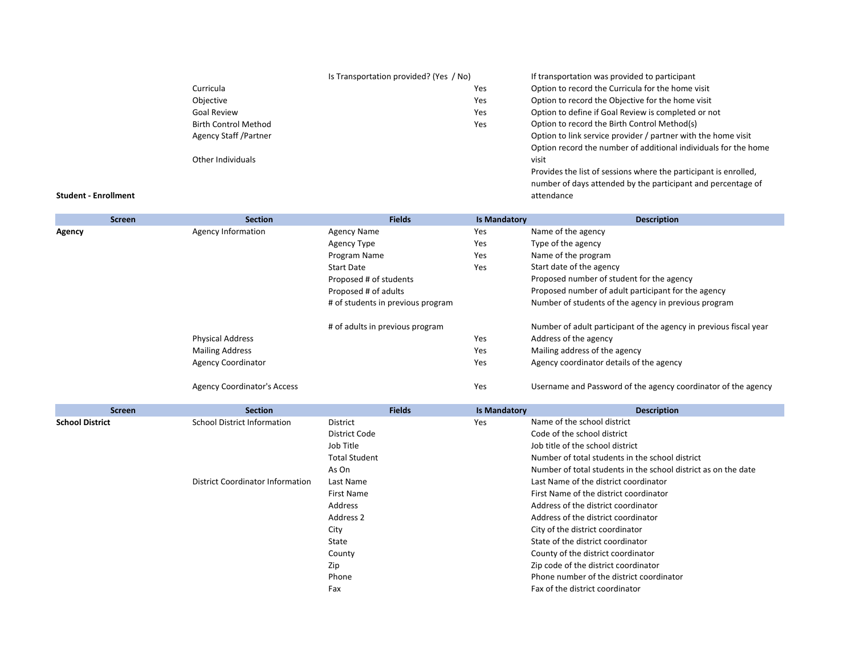|                              | Is Transportation provided? (Yes / No) | If transportation was provided to participant                    |
|------------------------------|----------------------------------------|------------------------------------------------------------------|
| Curricula                    | Yes                                    | Option to record the Curricula for the home visit                |
| Objective                    | <b>Yes</b>                             | Option to record the Objective for the home visit                |
| <b>Goal Review</b>           | Yes                                    | Option to define if Goal Review is completed or not              |
| <b>Birth Control Method</b>  | Yes                                    | Option to record the Birth Control Method(s)                     |
| <b>Agency Staff /Partner</b> |                                        | Option to link service provider / partner with the home visit    |
|                              |                                        | Option record the number of additional individuals for the home  |
| Other Individuals            |                                        | visit                                                            |
|                              |                                        | Provides the list of sessions where the participant is enrolled, |
|                              |                                        | number of days attended by the participant and percentage of     |

attendance

**Student - Enrollment**

|               | <b>Screen</b> | <b>Section</b>                     | <b>Fields</b>                     | <b>Is Mandatory</b> | <b>Description</b>                                                |
|---------------|---------------|------------------------------------|-----------------------------------|---------------------|-------------------------------------------------------------------|
| <b>Agency</b> |               | <b>Agency Information</b>          | <b>Agency Name</b>                | Yes                 | Name of the agency                                                |
|               |               |                                    | <b>Agency Type</b>                | Yes                 | Type of the agency                                                |
|               |               |                                    | Program Name                      | Yes                 | Name of the program                                               |
|               |               |                                    | <b>Start Date</b>                 | Yes                 | Start date of the agency                                          |
|               |               |                                    | Proposed # of students            |                     | Proposed number of student for the agency                         |
|               |               |                                    | Proposed # of adults              |                     | Proposed number of adult participant for the agency               |
|               |               |                                    | # of students in previous program |                     | Number of students of the agency in previous program              |
|               |               |                                    | # of adults in previous program   |                     | Number of adult participant of the agency in previous fiscal year |
|               |               | <b>Physical Address</b>            |                                   | Yes                 | Address of the agency                                             |
|               |               | <b>Mailing Address</b>             |                                   | Yes                 | Mailing address of the agency                                     |
|               |               | <b>Agency Coordinator</b>          |                                   | Yes                 | Agency coordinator details of the agency                          |
|               |               | <b>Agency Coordinator's Access</b> |                                   | Yes                 | Username and Password of the agency coordinator of the agency     |

| <b>Screen</b>          | <b>Section</b>                     | <b>Fields</b>        | <b>Is Mandatory</b> | <b>Description</b>                                             |
|------------------------|------------------------------------|----------------------|---------------------|----------------------------------------------------------------|
| <b>School District</b> | <b>School District Information</b> | District             | Yes                 | Name of the school district                                    |
|                        |                                    | District Code        |                     | Code of the school district                                    |
|                        |                                    | Job Title            |                     | Job title of the school district                               |
|                        |                                    | <b>Total Student</b> |                     | Number of total students in the school district                |
|                        |                                    | As On                |                     | Number of total students in the school district as on the date |
|                        | District Coordinator Information   | Last Name            |                     | Last Name of the district coordinator                          |
|                        |                                    | First Name           |                     | First Name of the district coordinator                         |
|                        |                                    | Address              |                     | Address of the district coordinator                            |
|                        |                                    | Address 2            |                     | Address of the district coordinator                            |
|                        |                                    | City                 |                     | City of the district coordinator                               |
|                        |                                    | State                |                     | State of the district coordinator                              |
|                        |                                    | County               |                     | County of the district coordinator                             |
|                        |                                    | Zip                  |                     | Zip code of the district coordinator                           |
|                        |                                    | Phone                |                     | Phone number of the district coordinator                       |
|                        |                                    | Fax                  |                     | Fax of the district coordinator                                |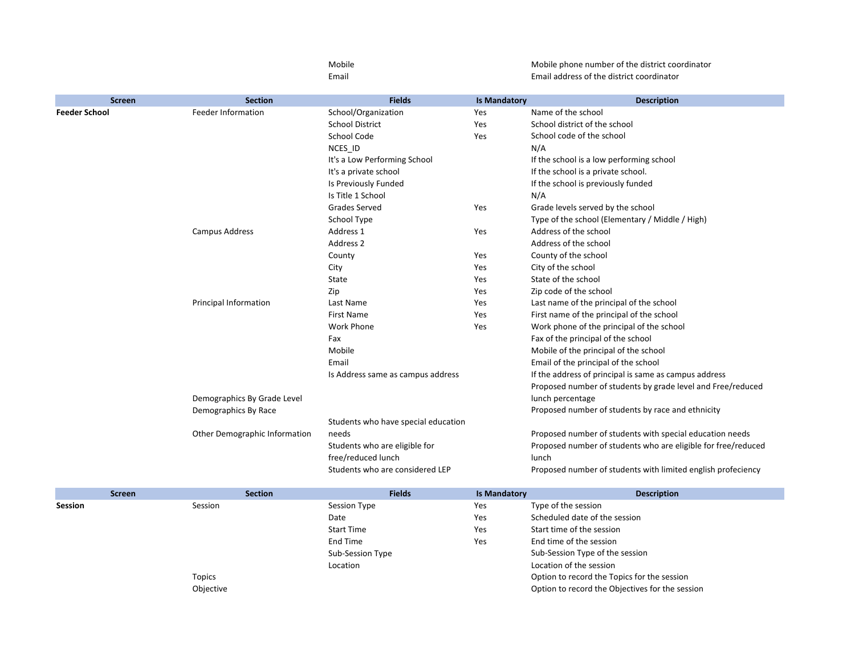|                      |                               | Mobile                              |                     | Mobile phone number of the district coordinator               |
|----------------------|-------------------------------|-------------------------------------|---------------------|---------------------------------------------------------------|
|                      |                               | Email                               |                     | Email address of the district coordinator                     |
| <b>Screen</b>        | <b>Section</b>                | <b>Fields</b>                       | <b>Is Mandatory</b> | <b>Description</b>                                            |
| <b>Feeder School</b> | <b>Feeder Information</b>     | School/Organization                 | Yes                 | Name of the school                                            |
|                      |                               | <b>School District</b>              | Yes                 | School district of the school                                 |
|                      |                               | School Code                         | Yes                 | School code of the school                                     |
|                      |                               | NCES_ID                             |                     | N/A                                                           |
|                      |                               | It's a Low Performing School        |                     | If the school is a low performing school                      |
|                      |                               | It's a private school               |                     | If the school is a private school.                            |
|                      |                               | Is Previously Funded                |                     | If the school is previously funded                            |
|                      |                               | Is Title 1 School                   |                     | N/A                                                           |
|                      |                               | <b>Grades Served</b>                | Yes                 | Grade levels served by the school                             |
|                      |                               | School Type                         |                     | Type of the school (Elementary / Middle / High)               |
|                      | Campus Address                | Address 1                           | Yes                 | Address of the school                                         |
|                      |                               | Address 2                           |                     | Address of the school                                         |
|                      |                               | County                              | Yes                 | County of the school                                          |
|                      |                               | City                                | Yes                 | City of the school                                            |
|                      |                               | State                               | Yes                 | State of the school                                           |
|                      |                               | Zip                                 | Yes                 | Zip code of the school                                        |
|                      | <b>Principal Information</b>  | Last Name                           | Yes                 | Last name of the principal of the school                      |
|                      |                               | <b>First Name</b>                   | Yes                 | First name of the principal of the school                     |
|                      |                               | <b>Work Phone</b>                   | Yes                 | Work phone of the principal of the school                     |
|                      |                               | Fax                                 |                     | Fax of the principal of the school                            |
|                      |                               | Mobile                              |                     | Mobile of the principal of the school                         |
|                      |                               | Email                               |                     | Email of the principal of the school                          |
|                      |                               | Is Address same as campus address   |                     | If the address of principal is same as campus address         |
|                      |                               |                                     |                     | Proposed number of students by grade level and Free/reduced   |
|                      | Demographics By Grade Level   |                                     |                     | lunch percentage                                              |
|                      | Demographics By Race          |                                     |                     | Proposed number of students by race and ethnicity             |
|                      |                               | Students who have special education |                     |                                                               |
|                      | Other Demographic Information | needs                               |                     | Proposed number of students with special education needs      |
|                      |                               | Students who are eligible for       |                     | Proposed number of students who are eligible for free/reduced |
|                      |                               | free/reduced lunch                  |                     | lunch                                                         |
|                      |                               | Students who are considered LEP     |                     | Proposed number of students with limited english profeciency  |
| <b>Screen</b>        | Section                       | <b>Fields</b>                       | <b>Is Mandatory</b> | <b>Description</b>                                            |

|         | <b>Screen</b> | <b>Section</b>    | <b>Fields</b> | <b>Is Mandatory</b>                             | <b>Description</b> |
|---------|---------------|-------------------|---------------|-------------------------------------------------|--------------------|
| Session | Session       | Session Type      | Yes           | Type of the session                             |                    |
|         |               | Date              | Yes           | Scheduled date of the session                   |                    |
|         |               | <b>Start Time</b> | Yes           | Start time of the session                       |                    |
|         |               | End Time          | Yes           | End time of the session                         |                    |
|         |               | Sub-Session Type  |               | Sub-Session Type of the session                 |                    |
|         |               | Location          |               | Location of the session                         |                    |
|         | <b>Topics</b> |                   |               | Option to record the Topics for the session     |                    |
|         | Objective     |                   |               | Option to record the Objectives for the session |                    |